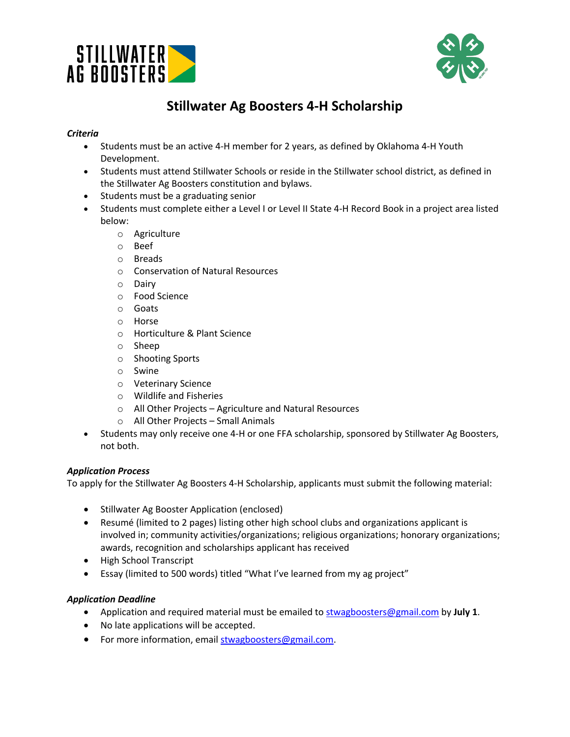



# **Stillwater Ag Boosters 4-H Scholarship**

### *Criteria*

- Students must be an active 4-H member for 2 years, as defined by Oklahoma 4-H Youth Development.
- Students must attend Stillwater Schools or reside in the Stillwater school district, as defined in the Stillwater Ag Boosters constitution and bylaws.
- Students must be a graduating senior
- Students must complete either a Level I or Level II State 4-H Record Book in a project area listed below:
	- o Agriculture
	- o Beef
	- o Breads
	- o Conservation of Natural Resources
	- o Dairy
	- o Food Science
	- o Goats
	- o Horse
	- o Horticulture & Plant Science
	- o Sheep
	- o Shooting Sports
	- o Swine
	- o Veterinary Science
	- o Wildlife and Fisheries
	- o All Other Projects Agriculture and Natural Resources
	- o All Other Projects Small Animals
- Students may only receive one 4-H or one FFA scholarship, sponsored by Stillwater Ag Boosters, not both.

#### *Application Process*

To apply for the Stillwater Ag Boosters 4-H Scholarship, applicants must submit the following material:

- Stillwater Ag Booster Application (enclosed)
- Resumé (limited to 2 pages) listing other high school clubs and organizations applicant is involved in; community activities/organizations; religious organizations; honorary organizations; awards, recognition and scholarships applicant has received
- High School Transcript
- Essay (limited to 500 words) titled "What I've learned from my ag project"

#### *Application Deadline*

- Application and required material must be emailed to stwagboosters@gmail.com by **July 1**.
- No late applications will be accepted.
- For more information, email stwagboosters@gmail.com.